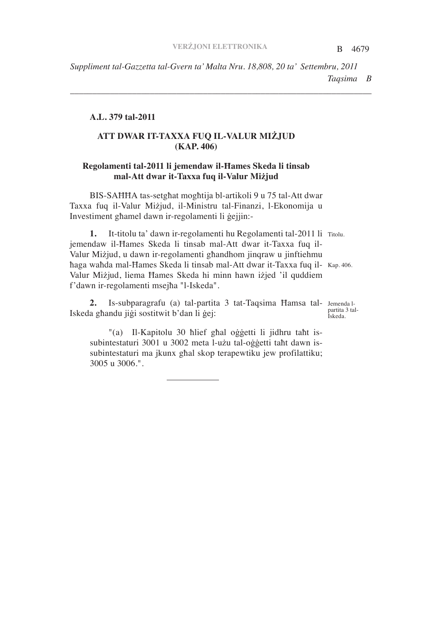B 4679 *Taqsima B Suppliment tal-Gazzetta tal-Gvern ta' Malta Nru. 18,808, 20 ta' Settembru, 2011*

*\_\_\_\_\_\_\_\_\_\_\_\_\_\_\_\_\_\_\_\_\_\_\_\_\_\_\_\_\_\_\_\_\_\_\_\_\_\_\_\_\_\_\_\_\_\_\_\_\_\_\_\_\_\_\_\_\_\_\_\_\_\_\_\_\_\_\_\_*

## **A.L. 379 tal-2011**

# **ATT DWAR IT-TAXXA FUQ IL-VALUR MIJUD (KAP. 406)**

# **Regolamenti tal-2011 li jemendaw il-ames Skeda li tinsab mal-Att dwar it-Taxxa fuq il-Valur Mijud**

BIS-SAHHA tas-setghat moghtija bl-artikoli 9 u 75 tal-Att dwar Taxxa fuq il-Valur Mizjud, il-Ministru tal-Finanzi, l-Ekonomija u Investiment ghamel dawn ir-regolamenti li gejjin:-

1. It-titolu ta' dawn ir-regolamenti hu Regolamenti tal-2011 li Titolu. haga wahda mal-Hames Skeda li tinsab mal-Att dwar it-Taxxa fuq il- Kap. 406. jemendaw il-Hames Skeda li tinsab mal-Att dwar it-Taxxa fuq il-Valur Mizjud, u dawn ir-regolamenti ghandhom jinqraw u jinftiehmu Valur Miżjud, liema Hames Skeda hi minn hawn iżjed 'il quddiem f'dawn ir-regolamenti msejha "l-Iskeda".

2. Is-subparagrafu (a) tal-partita 3 tat-Taqsima Hamsa tal- Jemenda l-Iskeda ghandu jigi sostitwit b'dan li gej:

"(a) Il-Kapitolu 30 hlief ghal oggetti li jidhru taht issubintestaturi 3001 u 3002 meta l-użu tal-oġġetti taħt dawn issubintestaturi ma jkunx ghal skop terapewtiku jew profilattiku; 3005 u 3006.".

partita 3 tal-Iskeda.